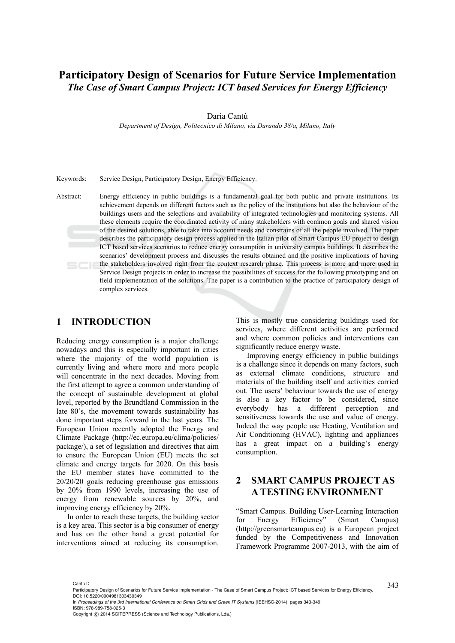## **Participatory Design of Scenarios for Future Service Implementation**  *The Case of Smart Campus Project: ICT based Services for Energy Efficiency*

Daria Cantù

*Department of Design, Politecnico di Milano, via Durando 38/a, Milano, Italy* 

Keywords: Service Design, Participatory Design, Energy Efficiency.

Abstract: Energy efficiency in public buildings is a fundamental goal for both public and private institutions. Its achievement depends on different factors such as the policy of the institutions but also the behaviour of the buildings users and the selections and availability of integrated technologies and monitoring systems. All these elements require the coordinated activity of many stakeholders with common goals and shared vision of the desired solutions, able to take into account needs and constrains of all the people involved. The paper describes the participatory design process applied in the Italian pilot of Smart Campus EU project to design ICT based services scenarios to reduce energy consumption in university campus buildings. It describes the scenarios' development process and discusses the results obtained and the positive implications of having the stakeholders involved right from the context research phase. This process is more and more used in Service Design projects in order to increase the possibilities of success for the following prototyping and on field implementation of the solutions. The paper is a contribution to the practice of participatory design of complex services.

#### **1 INTRODUCTION**

Reducing energy consumption is a major challenge nowadays and this is especially important in cities where the majority of the world population is currently living and where more and more people will concentrate in the next decades. Moving from the first attempt to agree a common understanding of the concept of sustainable development at global level, reported by the Brundtland Commission in the late 80's, the movement towards sustainability has done important steps forward in the last years. The European Union recently adopted the Energy and Climate Package (http://ec.europa.eu/clima/policies/ package/), a set of legislation and directives that aim to ensure the European Union (EU) meets the set climate and energy targets for 2020. On this basis the EU member states have committed to the 20/20/20 goals reducing greenhouse gas emissions by 20% from 1990 levels, increasing the use of energy from renewable sources by 20%, and improving energy efficiency by 20%.

In order to reach these targets, the building sector is a key area. This sector is a big consumer of energy and has on the other hand a great potential for interventions aimed at reducing its consumption.

This is mostly true considering buildings used for services, where different activities are performed and where common policies and interventions can significantly reduce energy waste.

Improving energy efficiency in public buildings is a challenge since it depends on many factors, such as external climate conditions, structure and materials of the building itself and activities carried out. The users' behaviour towards the use of energy is also a key factor to be considered, since everybody has a different perception and sensitiveness towards the use and value of energy. Indeed the way people use Heating, Ventilation and Air Conditioning (HVAC), lighting and appliances has a great impact on a building's energy consumption.

### **2 SMART CAMPUS PROJECT AS A TESTING ENVIRONMENT**

"Smart Campus. Building User-Learning Interaction for Energy Efficiency" (Smart Campus) (http://greensmartcampus.eu) is a European project funded by the Competitiveness and Innovation Framework Programme 2007-2013, with the aim of

<sup>343</sup> Cantù D.. Participatory Design of Scenarios for Future Service Implementation - The Case of Smart Campus Project: ICT based Services for Energy Efficiency. DOI: 10.5220/0004981303430349

In *Proceedings of the 3rd International Conference on Smart Grids and Green IT Systems* (IEEHSC-2014), pages 343-349 ISBN: 978-989-758-025-3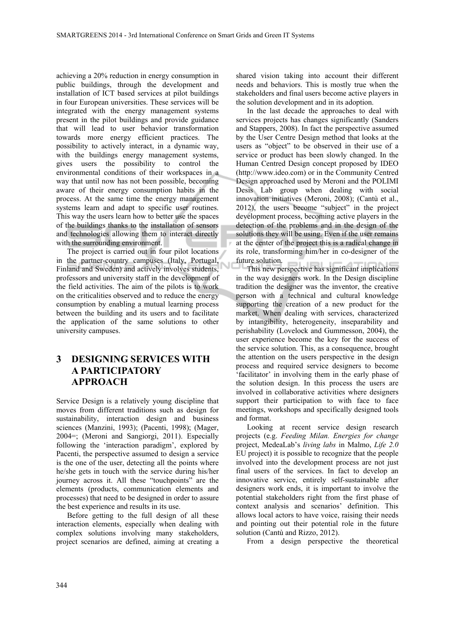achieving a 20% reduction in energy consumption in public buildings, through the development and installation of ICT based services at pilot buildings in four European universities. These services will be integrated with the energy management systems present in the pilot buildings and provide guidance that will lead to user behavior transformation towards more energy efficient practices. The possibility to actively interact, in a dynamic way, with the buildings energy management systems, gives users the possibility to control the environmental conditions of their workspaces in a way that until now has not been possible, becoming aware of their energy consumption habits in the process. At the same time the energy management systems learn and adapt to specific user routines. This way the users learn how to better use the spaces of the buildings thanks to the installation of sensors and technologies allowing them to interact directly with the surrounding environment.

The project is carried out in four pilot locations in the partner-country campuses (Italy, Portugal, Finland and Sweden) and actively involves students, professors and university staff in the development of the field activities. The aim of the pilots is to work on the criticalities observed and to reduce the energy consumption by enabling a mutual learning process between the building and its users and to facilitate the application of the same solutions to other university campuses.

### **3 DESIGNING SERVICES WITH A PARTICIPATORY APPROACH**

Service Design is a relatively young discipline that moves from different traditions such as design for sustainability, interaction design and business sciences (Manzini, 1993); (Pacenti, 1998); (Mager, 2004=; (Meroni and Sangiorgi, 2011). Especially following the 'interaction paradigm', explored by Pacenti, the perspective assumed to design a service is the one of the user, detecting all the points where he/she gets in touch with the service during his/her journey across it. All these "touchpoints" are the elements (products, communication elements and processes) that need to be designed in order to assure the best experience and results in its use.

Before getting to the full design of all these interaction elements, especially when dealing with complex solutions involving many stakeholders, project scenarios are defined, aiming at creating a

shared vision taking into account their different needs and behaviors. This is mostly true when the stakeholders and final users become active players in the solution development and in its adoption.

In the last decade the approaches to deal with services projects has changes significantly (Sanders and Stappers, 2008). In fact the perspective assumed by the User Centre Design method that looks at the users as "object" to be observed in their use of a service or product has been slowly changed. In the Human Centred Design concept proposed by IDEO (http://www.ideo.com) or in the Community Centred Design approached used by Meroni and the POLIMI Desis Lab group when dealing with social innovation initiatives (Meroni, 2008); (Cantù et al., 2012), the users become "subject" in the project development process, becoming active players in the detection of the problems and in the design of the solutions they will be using. Even if the user remains at the center of the project this is a radical change in its role, transforming him/her in co-designer of the future solution.

This new perspective has significant implications in the way designers work. In the Design discipline tradition the designer was the inventor, the creative person with a technical and cultural knowledge supporting the creation of a new product for the market. When dealing with services, characterized by intangibility, heterogeneity, inseparability and perishability (Lovelock and Gummesson, 2004), the user experience become the key for the success of the service solution. This, as a consequence, brought the attention on the users perspective in the design process and required service designers to become 'facilitator' in involving them in the early phase of the solution design. In this process the users are involved in collaborative activities where designers support their participation to with face to face meetings, workshops and specifically designed tools and format.

Looking at recent service design research projects (e.g. *Feeding Milan. Energies for change* project, MedeaLab's *living labs* in Malmo, *Life 2.0* EU project) it is possible to recognize that the people involved into the development process are not just final users of the services. In fact to develop an innovative service, entirely self-sustainable after designers work ends, it is important to involve the potential stakeholders right from the first phase of context analysis and scenarios' definition. This allows local actors to have voice, raising their needs and pointing out their potential role in the future solution (Cantù and Rizzo, 2012).

From a design perspective the theoretical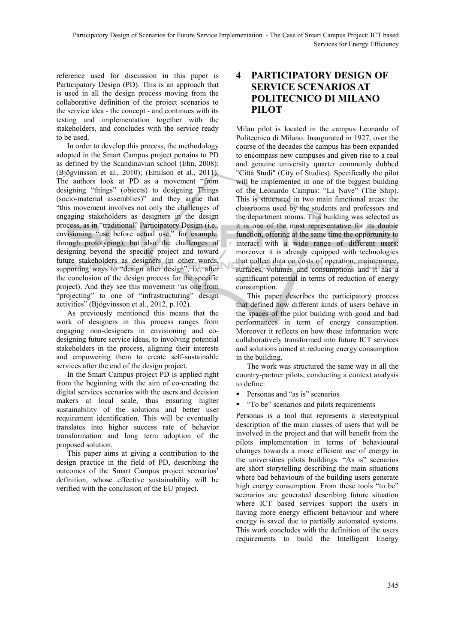reference used for discussion in this paper is Participatory Design (PD). This is an approach that is used in all the design process moving from the collaborative definition of the project scenarios to the service idea - the concept - and continues with its testing and implementation together with the stakeholders, and concludes with the service ready to be used.

In order to develop this process, the methodology adopted in the Smart Campus project pertains to PD as defined by the Scandinavian school (Ehn, 2008); (Bjögvinsson et al., 2010); (Emilson et al., 2011). The authors look at PD as a movement "from designing "things" (objects) to designing Things (socio-material assemblies)" and they argue that "this movement involves not only the challenges of engaging stakeholders as designers in the design process, as in "traditional" Participatory Design (i.e., envisioning "use before actual use," for example, through prototyping), but also the challenges of designing beyond the specific project and toward future stakeholders as designers (in other words, supporting ways to "design after design", i.e. after the conclusion of the design process for the specific project). And they see this movement "as one from "projecting" to one of "infrastructuring" design activities" (Bjögvinsson et al., 2012, p.102).

As previously mentioned this means that the work of designers in this process ranges from engaging non-designers in envisioning and codesigning future service ideas, to involving potential stakeholders in the process, aligning their interests and empowering them to create self-sustainable services after the end of the design project.

In the Smart Campus project PD is applied right from the beginning with the aim of co-creating the digital services scenarios with the users and decision makers at local scale, thus ensuring higher sustainability of the solutions and better user requirement identification. This will be eventually translates into higher success rate of behavior transformation and long term adoption of the proposed solution.

This paper aims at giving a contribution to the design practice in the field of PD, describing the outcomes of the Smart Campus project scenarios' definition, whose effective sustainability will be verified with the conclusion of the EU project.

### **4 PARTICIPATORY DESIGN OF SERVICE SCENARIOS AT POLITECNICO DI MILANO PILOT**

Milan pilot is located in the campus Leonardo of Politecnico di Milano. Inaugurated in 1927, over the course of the decades the campus has been expanded to encompass new campuses and given rise to a real and genuine university quarter commonly dubbed "Città Studi" (City of Studies). Specifically the pilot will be implemented in one of the biggest building of the Leonardo Campus: "La Nave" (The Ship). This is structured in two main functional areas: the classrooms used by the students and professors and the department rooms. This building was selected as it is one of the most representative for its double function, offering at the same time the opportunity to interact with a wide range of different users; moreover it is already equipped with technologies that collect data on costs of operation, maintenance, surfaces, volumes and consumptions and it has a significant potential in terms of reduction of energy consumption.

This paper describes the participatory process that defined how different kinds of users behave in the spaces of the pilot building with good and bad performances in term of energy consumption. Moreover it reflects on how these information were collaboratively transformed into future ICT services and solutions aimed at reducing energy consumption in the building.

The work was structured the same way in all the country-partner pilots, conducting a context analysis to define:

- Personas and "as is" scenarios
- "To be" scenarios and pilots requirements

Personas is a tool that represents a stereotypical description of the main classes of users that will be involved in the project and that will benefit from the pilots implementation in terms of behavioural changes towards a more efficient use of energy in the universities pilots buildings. "As is" scenarios are short storytelling describing the main situations where bad behaviours of the building users generate high energy consumption. From these tools "to be" scenarios are generated describing future situation where ICT based services support the users in having more energy efficient behaviour and where energy is saved due to partially automated systems. This work concludes with the definition of the users requirements to build the Intelligent Energy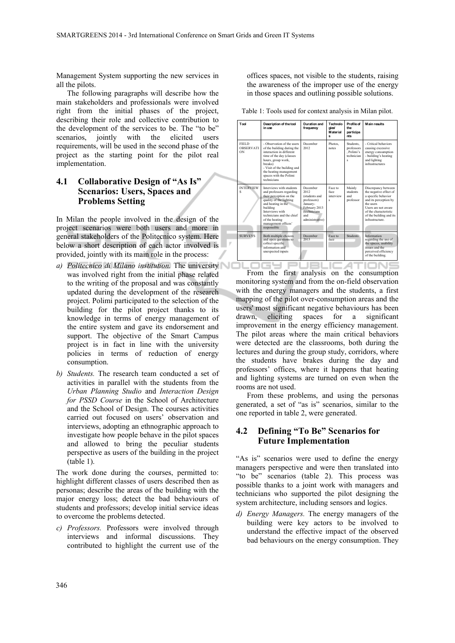Management System supporting the new services in all the pilots.

The following paragraphs will describe how the main stakeholders and professionals were involved right from the initial phases of the project, describing their role and collective contribution to the development of the services to be. The "to be" scenarios, jointly with the elicited users requirements, will be used in the second phase of the project as the starting point for the pilot real implementation.

#### **4.1 Collaborative Design of "As Is" Scenarios: Users, Spaces and Problems Setting**

In Milan the people involved in the design of the project scenarios were both users and more in general stakeholders of the Politecnico system. Here below a short description of each actor involved is provided, jointly with its main role in the process:

- *a) Politecnico di Milano institution.* The university was involved right from the initial phase related to the writing of the proposal and was constantly updated during the development of the research project. Polimi participated to the selection of the building for the pilot project thanks to its knowledge in terms of energy management of the entire system and gave its endorsement and support. The objective of the Smart Campus project is in fact in line with the university policies in terms of reduction of energy consumption.
- *b) Students.* The research team conducted a set of activities in parallel with the students from the *Urban Planning Studio* and *Interaction Design for PSSD Course* in the School of Architecture and the School of Design. The courses activities carried out focused on users' observation and interviews, adopting an ethnographic approach to investigate how people behave in the pilot spaces and allowed to bring the peculiar students perspective as users of the building in the project (table 1).

The work done during the courses, permitted to: highlight different classes of users described then as personas; describe the areas of the building with the major energy loss; detect the bad behaviours of students and professors; develop initial service ideas to overcome the problems detected.

*c) Professors.* Professors were involved through interviews and informal discussions. They contributed to highlight the current use of the offices spaces, not visible to the students, raising the awareness of the improper use of the energy in those spaces and outlining possible solutions.

Table 1: Tools used for context analysis in Milan pilot.

| Tool                            | Description of the tool<br>in use                                                                                                                                                                                                                    | Duration and<br>frequency                                                                                                      | Technolo<br>aies<br><b>Material</b><br>¢ | Profile of<br>the<br>participa<br>nts                     | <b>Main results</b>                                                                                                                                                                                             |
|---------------------------------|------------------------------------------------------------------------------------------------------------------------------------------------------------------------------------------------------------------------------------------------------|--------------------------------------------------------------------------------------------------------------------------------|------------------------------------------|-----------------------------------------------------------|-----------------------------------------------------------------------------------------------------------------------------------------------------------------------------------------------------------------|
| FIELD<br><b>OBSERVATI</b><br>ON | - Observation of the users<br>of the building during the<br>interaction in different<br>time of the day (classes<br>hours, group work,<br>breaks)<br>- Visit of the building and<br>the heating management<br>spaces with the Polimi<br>technicians  | December<br>2012                                                                                                               | Photos<br>notes                          | <b>Students</b><br>professors<br>. Polimi's<br>technician | - Critical behaviors<br>causing excessive<br>energy consumption<br>- building's heating<br>and lighting<br>infrastructures                                                                                      |
| <b>INTERVIEW</b><br>Ś           | Interviews with students<br>and professors regarding<br>their perception on the<br>quality of the lighting<br>and heating in the<br>building<br>Interviews with<br>technicians and the chief<br>of the heating<br>management offices'<br>responsible | December<br>2012<br>(students and<br>professors)<br>January-<br>February 2013<br><i>(technicians</i><br>and<br>administrative) | Face to<br>face<br>interview<br>ś        | Mainly<br>students<br>and<br>professor                    | Discrepancy between<br>the negative effect of<br>a specific behavior<br>and its perception by<br>the users.<br>Users are not aware<br>of the characteristic<br>of the building and its<br><i>infrastructure</i> |
| <b>SURVEYS</b>                  | Both multiple choices<br>and open questions to<br>collect specific<br>information and<br>unexpected inputs                                                                                                                                           | December<br>2013                                                                                                               | Face to<br>face                          | <b>Students</b>                                           | Information<br>regarding the use of<br>the spaces, usability<br>issues and the<br>perceived efficiency<br>of the building.                                                                                      |

From the first analysis on the consumption monitoring system and from the on-field observation with the energy managers and the students, a first mapping of the pilot over-consumption areas and the users' most significant negative behaviours has been drawn, eliciting spaces for a significant improvement in the energy efficiency management. The pilot areas where the main critical behaviors were detected are the classrooms, both during the lectures and during the group study, corridors, where the students have brakes during the day and professors' offices, where it happens that heating and lighting systems are turned on even when the rooms are not used.

From these problems, and using the personas generated, a set of "as is" scenarios, similar to the one reported in table 2, were generated.

#### **4.2 Defining "To Be" Scenarios for Future Implementation**

"As is" scenarios were used to define the energy managers perspective and were then translated into "to be" scenarios (table 2). This process was possible thanks to a joint work with managers and technicians who supported the pilot designing the system architecture, including sensors and logics.

*d) Energy Managers.* The energy managers of the building were key actors to be involved to understand the effective impact of the observed bad behaviours on the energy consumption. They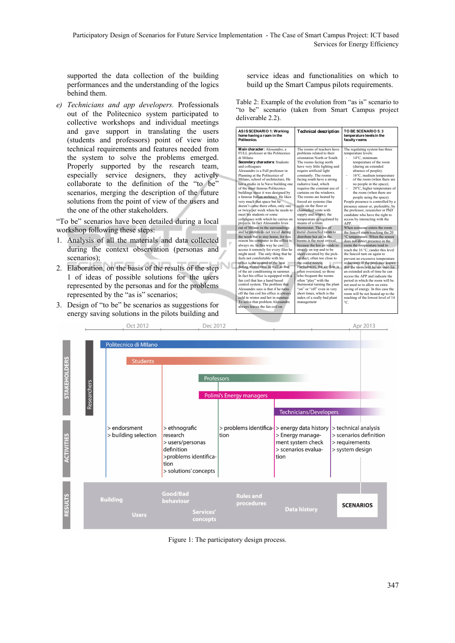supported the data collection of the building performances and the understanding of the logics behind them.

*e) Technicians and app developers.* Professionals out of the Politecnico system participated to collective workshops and individual meetings and gave support in translating the users (students and professors) point of view into technical requirements and features needed from the system to solve the problems emerged. Properly supported by the research team, especially service designers, they actively collaborate to the definition of the "to be" scenarios, merging the description of the future solutions from the point of view of the users and the one of the other stakeholders.

"To be" scenarios have been detailed during a local workshop following these steps:

- 1. Analysis of all the materials and data collected during the context observation (personas and scenarios);
- 2. Elaboration, on the basis of the results of the step 1 of ideas of possible solutions for the users represented by the personas and for the problems represented by the "as is" scenarios;
- 3. Design of "to be" be scenarios as suggestions for energy saving solutions in the pilots building and

service ideas and functionalities on which to build up the Smart Campus pilots requirements.

Table 2: Example of the evolution from "as is" scenario to "to be" scenario (taken from Smart Campus project deliverable 2.2).

| ASIS SCENARIO 1: Working<br>home having a room in the<br>Politecnico.                                                                                                                                                                                                                                                                                                                                                                                                                                                                                                                                                                                                                                                                                                                                                                                                                                                                                                                                                                                                                                                                                                                                                                                                                                                                                                | <b>Technical description</b>                                                                                                                                                                                                                                                                                                                                                                                                                                                                                                                                                                                                                                                                                                                                                                                                                                                                                                                                                                                                             | TO BE SCENARIO 5: 3<br>temperature levels in the<br>faculty rooms                                                                                                                                                                                                                                                                                                                                                                                                                                                                                                                                                                                                                                                                                                                                                                                                                                                                                                                                                                                                                                                                                                                   |
|----------------------------------------------------------------------------------------------------------------------------------------------------------------------------------------------------------------------------------------------------------------------------------------------------------------------------------------------------------------------------------------------------------------------------------------------------------------------------------------------------------------------------------------------------------------------------------------------------------------------------------------------------------------------------------------------------------------------------------------------------------------------------------------------------------------------------------------------------------------------------------------------------------------------------------------------------------------------------------------------------------------------------------------------------------------------------------------------------------------------------------------------------------------------------------------------------------------------------------------------------------------------------------------------------------------------------------------------------------------------|------------------------------------------------------------------------------------------------------------------------------------------------------------------------------------------------------------------------------------------------------------------------------------------------------------------------------------------------------------------------------------------------------------------------------------------------------------------------------------------------------------------------------------------------------------------------------------------------------------------------------------------------------------------------------------------------------------------------------------------------------------------------------------------------------------------------------------------------------------------------------------------------------------------------------------------------------------------------------------------------------------------------------------------|-------------------------------------------------------------------------------------------------------------------------------------------------------------------------------------------------------------------------------------------------------------------------------------------------------------------------------------------------------------------------------------------------------------------------------------------------------------------------------------------------------------------------------------------------------------------------------------------------------------------------------------------------------------------------------------------------------------------------------------------------------------------------------------------------------------------------------------------------------------------------------------------------------------------------------------------------------------------------------------------------------------------------------------------------------------------------------------------------------------------------------------------------------------------------------------|
| Main character: Alessandro, a<br>FULL professor at the Politecnico<br>di Milano<br>Secondary characters: Students<br>and colleagues<br>Alessandro is a Full professor in<br>Planning at the Politecnico of<br>Milano, school of architecture, He<br>has a studio in la Nave building one<br>of the most famous Politecnico<br>buildings since it was designed by<br>a famous Italian architect. He likes<br>very much that space but he<br>doesn't come there often, only one<br>or twice per week when he needs to<br>meet his students or some<br>colleagues with which he carries on<br>projects. In fact Alessandro lives<br>out of Milano in the surroundings<br>and he prefers do not travel during<br>the week but to stay home, for this<br>reason his computer in the office is<br>always on. In this way he can<br>access it remotely for every files he<br>might need. The only thing that he<br>feels not comfortable with his<br>office is the control of the heat<br>during winter-time as well as that<br>of the air conditioning in summer.<br>In fact his office is equipped with a<br>fan coil that has a hand based<br>control system. The problem that<br>Alessandro sees is that if he turns<br>off the fan coil his office is always<br>cold in winter and hot in summer<br>To solve that problem Alessandro<br>always leaves the fan coil on. | The rooms of teachers have<br>problems related to their<br>orientation North or South<br>The rooms facing north<br>have very little lighting and<br>require artificial light<br>constantly. The rooms<br>facing south have a strong<br>radiative load, which<br>requires the constant use of<br>curtains on the windows<br>The rooms are heated by<br>forced air systems (fan<br>eoils on the floor or<br>channelled vents with<br>supply and return); the<br>temperature is regulated by<br>means of a room<br>thermostat. The use of<br>metal channelled vents to<br>distribute hot air in the<br>rooms is the most critical.<br>because the hot air tends to<br>stratify on top and to be<br>short-circuited by the pick-<br>up duct, often too close to<br>the outlet nozzle<br>Furthermore, the air flow is<br>often oversized, so those<br>who frequent the rooms<br>often "play" with the<br>thermostat turning the plant<br>"on" or "off" even in very<br>short times, which is the<br>index of a really bad plant<br>management | The regulating system has three<br>temperature levels:<br>14°C minimum<br>temperature of the room<br>(during an extended<br>absence of people);<br>16°C. medium temperature<br>÷,<br>of the room (when there are<br>no people in the space);<br>20°C, higher temperature of<br>ä,<br>the room (when there are<br>people using the space).<br>People presence is controlled by a<br>presence sensor or, preferably, by<br>the professor, researcher or PhD<br>candidate who have the right to<br>access by interacting with the<br>APP<br>When someone enters the room<br>the fancoil starts reaching the 20<br>°C temperature. When the sensor<br>does not detect presence in the<br>room the temperature tend to<br>reach the 16 °C, (under this level<br>the fancoil turn on again to<br>prevent an excessive temperature<br>reduction). If the professor knows<br>that the room will be not used for<br>an extended arch of time he can<br>access the APP and indicate the<br>neriod in which the room will be<br>not used so to allow an extra-<br>saving of energy. In this case the<br>room will be not heated up to the<br>reaching of the lowest level of 14<br>$^{\circ}C$ |
|                                                                                                                                                                                                                                                                                                                                                                                                                                                                                                                                                                                                                                                                                                                                                                                                                                                                                                                                                                                                                                                                                                                                                                                                                                                                                                                                                                      |                                                                                                                                                                                                                                                                                                                                                                                                                                                                                                                                                                                                                                                                                                                                                                                                                                                                                                                                                                                                                                          |                                                                                                                                                                                                                                                                                                                                                                                                                                                                                                                                                                                                                                                                                                                                                                                                                                                                                                                                                                                                                                                                                                                                                                                     |



Figure 1: The participatory design process.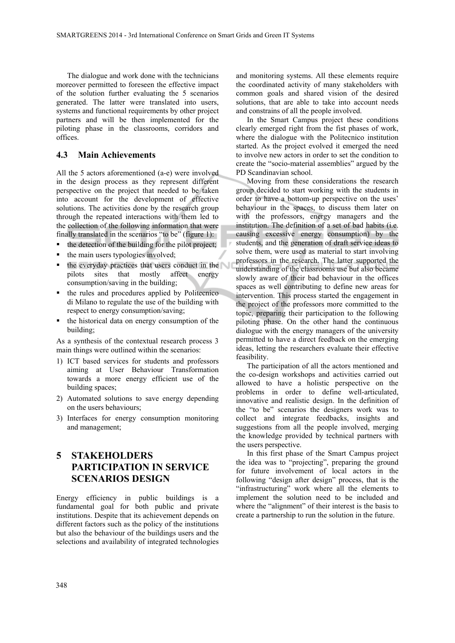The dialogue and work done with the technicians moreover permitted to foreseen the effective impact of the solution further evaluating the 5 scenarios generated. The latter were translated into users, systems and functional requirements by other project partners and will be then implemented for the piloting phase in the classrooms, corridors and offices.

#### **4.3 Main Achievements**

All the 5 actors aforementioned (a-e) were involved in the design process as they represent different perspective on the project that needed to be taken into account for the development of effective solutions. The activities done by the research group through the repeated interactions with them led to the collection of the following information that were finally translated in the scenarios "to be" (figure 1):

- $\blacksquare$  the detection of the building for the pilot project;
- the main users typologies involved;
- **the everyday practices that users conduct in the** pilots sites that mostly affect energy consumption/saving in the building;
- the rules and procedures applied by Politecnico di Milano to regulate the use of the building with respect to energy consumption/saving;
- $\blacksquare$  the historical data on energy consumption of the building;

As a synthesis of the contextual research process 3 main things were outlined within the scenarios:

- 1) ICT based services for students and professors aiming at User Behaviour Transformation towards a more energy efficient use of the building spaces;
- 2) Automated solutions to save energy depending on the users behaviours;
- 3) Interfaces for energy consumption monitoring and management;

## **5 STAKEHOLDERS PARTICIPATION IN SERVICE SCENARIOS DESIGN**

Energy efficiency in public buildings is a fundamental goal for both public and private institutions. Despite that its achievement depends on different factors such as the policy of the institutions but also the behaviour of the buildings users and the selections and availability of integrated technologies

and monitoring systems. All these elements require the coordinated activity of many stakeholders with common goals and shared vision of the desired solutions, that are able to take into account needs and constrains of all the people involved.

In the Smart Campus project these conditions clearly emerged right from the fist phases of work, where the dialogue with the Politecnico institution started. As the project evolved it emerged the need to involve new actors in order to set the condition to create the "socio-material assemblies" argued by the PD Scandinavian school.

Moving from these considerations the research group decided to start working with the students in order to have a bottom-up perspective on the uses' behaviour in the spaces, to discuss them later on with the professors, energy managers and the institution. The definition of a set of bad habits (i.e. causing excessive energy consumption) by the students, and the generation of draft service ideas to solve them, were used as material to start involving professors in the research. The latter supported the understanding of the classrooms use but also became slowly aware of their bad behaviour in the offices spaces as well contributing to define new areas for intervention. This process started the engagement in the project of the professors more committed to the topic, preparing their participation to the following piloting phase. On the other hand the continuous dialogue with the energy managers of the university permitted to have a direct feedback on the emerging ideas, letting the researchers evaluate their effective feasibility.

The participation of all the actors mentioned and the co-design workshops and activities carried out allowed to have a holistic perspective on the problems in order to define well-articulated, innovative and realistic design. In the definition of the "to be" scenarios the designers work was to collect and integrate feedbacks, insights and suggestions from all the people involved, merging the knowledge provided by technical partners with the users perspective.

In this first phase of the Smart Campus project the idea was to "projecting", preparing the ground for future involvement of local actors in the following "design after design" process, that is the "infrastructuring" work where all the elements to implement the solution need to be included and where the "alignment" of their interest is the basis to create a partnership to run the solution in the future.